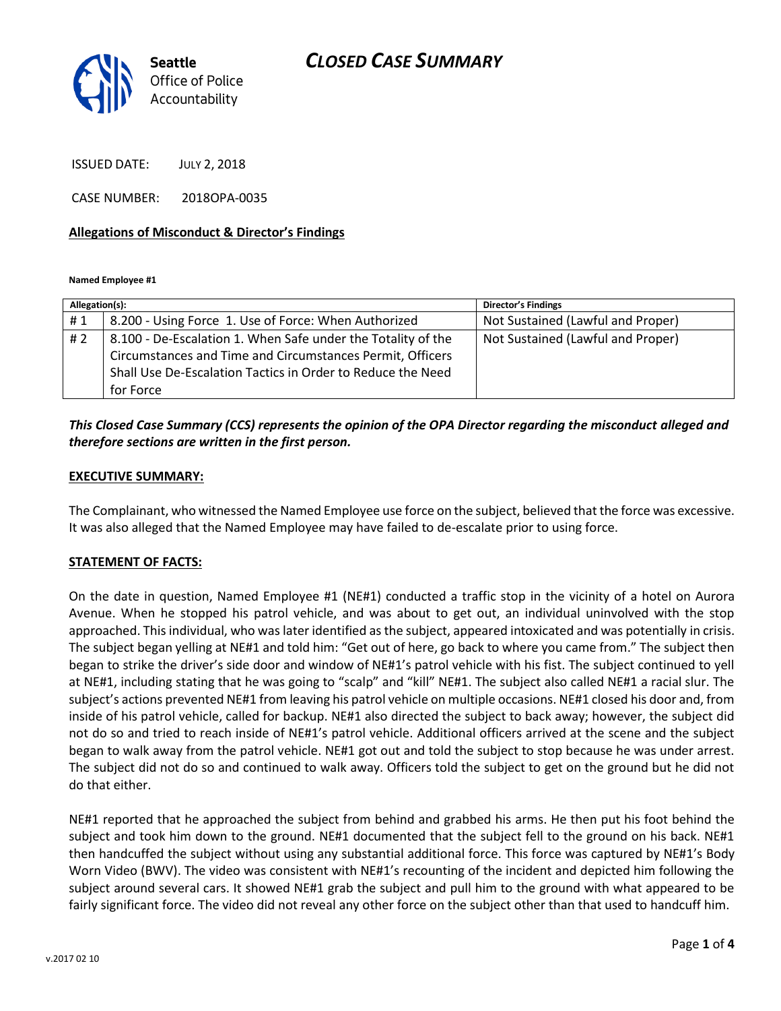

ISSUED DATE: JULY 2, 2018

CASE NUMBER: 2018OPA-0035

#### **Allegations of Misconduct & Director's Findings**

**Named Employee #1**

| Allegation(s): |                                                                                                                                                                                          | <b>Director's Findings</b>        |
|----------------|------------------------------------------------------------------------------------------------------------------------------------------------------------------------------------------|-----------------------------------|
| #1             | 8.200 - Using Force 1. Use of Force: When Authorized                                                                                                                                     | Not Sustained (Lawful and Proper) |
| #2             | 8.100 - De-Escalation 1. When Safe under the Totality of the<br>Circumstances and Time and Circumstances Permit, Officers<br>Shall Use De-Escalation Tactics in Order to Reduce the Need | Not Sustained (Lawful and Proper) |
|                | for Force                                                                                                                                                                                |                                   |

### *This Closed Case Summary (CCS) represents the opinion of the OPA Director regarding the misconduct alleged and therefore sections are written in the first person.*

#### **EXECUTIVE SUMMARY:**

The Complainant, who witnessed the Named Employee use force on the subject, believed that the force was excessive. It was also alleged that the Named Employee may have failed to de-escalate prior to using force.

#### **STATEMENT OF FACTS:**

On the date in question, Named Employee #1 (NE#1) conducted a traffic stop in the vicinity of a hotel on Aurora Avenue. When he stopped his patrol vehicle, and was about to get out, an individual uninvolved with the stop approached. This individual, who was later identified as the subject, appeared intoxicated and was potentially in crisis. The subject began yelling at NE#1 and told him: "Get out of here, go back to where you came from." The subject then began to strike the driver's side door and window of NE#1's patrol vehicle with his fist. The subject continued to yell at NE#1, including stating that he was going to "scalp" and "kill" NE#1. The subject also called NE#1 a racial slur. The subject's actions prevented NE#1 from leaving his patrol vehicle on multiple occasions. NE#1 closed his door and, from inside of his patrol vehicle, called for backup. NE#1 also directed the subject to back away; however, the subject did not do so and tried to reach inside of NE#1's patrol vehicle. Additional officers arrived at the scene and the subject began to walk away from the patrol vehicle. NE#1 got out and told the subject to stop because he was under arrest. The subject did not do so and continued to walk away. Officers told the subject to get on the ground but he did not do that either.

NE#1 reported that he approached the subject from behind and grabbed his arms. He then put his foot behind the subject and took him down to the ground. NE#1 documented that the subject fell to the ground on his back. NE#1 then handcuffed the subject without using any substantial additional force. This force was captured by NE#1's Body Worn Video (BWV). The video was consistent with NE#1's recounting of the incident and depicted him following the subject around several cars. It showed NE#1 grab the subject and pull him to the ground with what appeared to be fairly significant force. The video did not reveal any other force on the subject other than that used to handcuff him.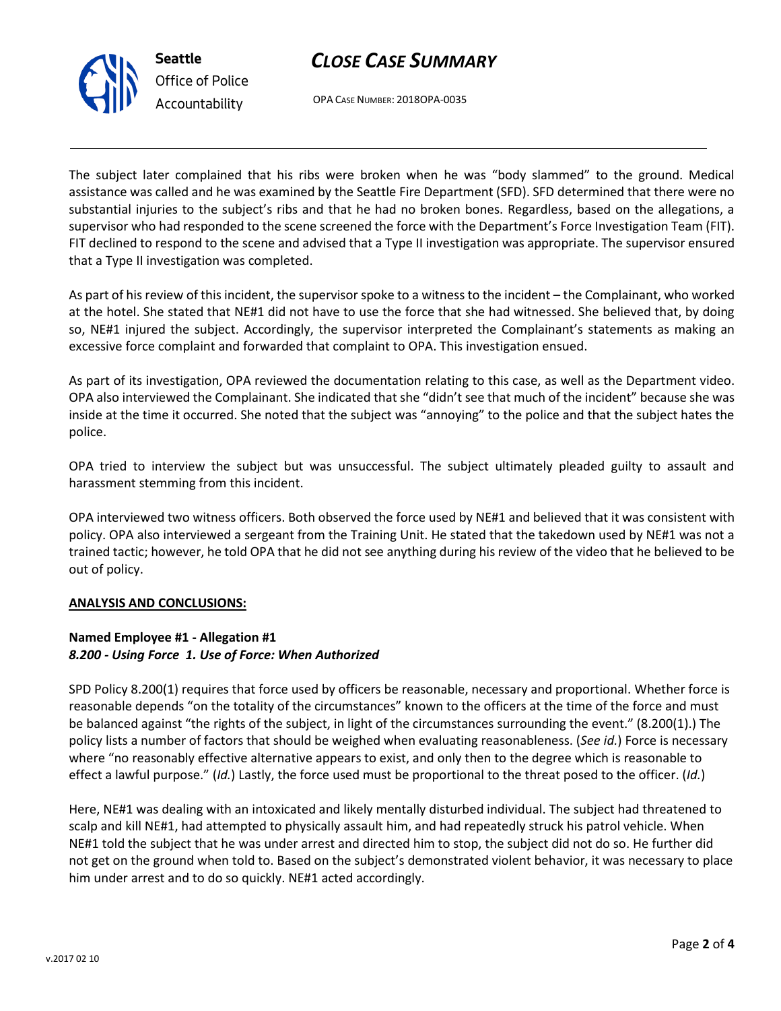# *CLOSE CASE SUMMARY*



OPA CASE NUMBER: 2018OPA-0035

The subject later complained that his ribs were broken when he was "body slammed" to the ground. Medical assistance was called and he was examined by the Seattle Fire Department (SFD). SFD determined that there were no substantial injuries to the subject's ribs and that he had no broken bones. Regardless, based on the allegations, a supervisor who had responded to the scene screened the force with the Department's Force Investigation Team (FIT). FIT declined to respond to the scene and advised that a Type II investigation was appropriate. The supervisor ensured that a Type II investigation was completed.

As part of his review of this incident, the supervisor spoke to a witness to the incident – the Complainant, who worked at the hotel. She stated that NE#1 did not have to use the force that she had witnessed. She believed that, by doing so, NE#1 injured the subject. Accordingly, the supervisor interpreted the Complainant's statements as making an excessive force complaint and forwarded that complaint to OPA. This investigation ensued.

As part of its investigation, OPA reviewed the documentation relating to this case, as well as the Department video. OPA also interviewed the Complainant. She indicated that she "didn't see that much of the incident" because she was inside at the time it occurred. She noted that the subject was "annoying" to the police and that the subject hates the police.

OPA tried to interview the subject but was unsuccessful. The subject ultimately pleaded guilty to assault and harassment stemming from this incident.

OPA interviewed two witness officers. Both observed the force used by NE#1 and believed that it was consistent with policy. OPA also interviewed a sergeant from the Training Unit. He stated that the takedown used by NE#1 was not a trained tactic; however, he told OPA that he did not see anything during his review of the video that he believed to be out of policy.

### **ANALYSIS AND CONCLUSIONS:**

## **Named Employee #1 - Allegation #1** *8.200 - Using Force 1. Use of Force: When Authorized*

SPD Policy 8.200(1) requires that force used by officers be reasonable, necessary and proportional. Whether force is reasonable depends "on the totality of the circumstances" known to the officers at the time of the force and must be balanced against "the rights of the subject, in light of the circumstances surrounding the event." (8.200(1).) The policy lists a number of factors that should be weighed when evaluating reasonableness. (*See id.*) Force is necessary where "no reasonably effective alternative appears to exist, and only then to the degree which is reasonable to effect a lawful purpose." (*Id.*) Lastly, the force used must be proportional to the threat posed to the officer. (*Id.*)

Here, NE#1 was dealing with an intoxicated and likely mentally disturbed individual. The subject had threatened to scalp and kill NE#1, had attempted to physically assault him, and had repeatedly struck his patrol vehicle. When NE#1 told the subject that he was under arrest and directed him to stop, the subject did not do so. He further did not get on the ground when told to. Based on the subject's demonstrated violent behavior, it was necessary to place him under arrest and to do so quickly. NE#1 acted accordingly.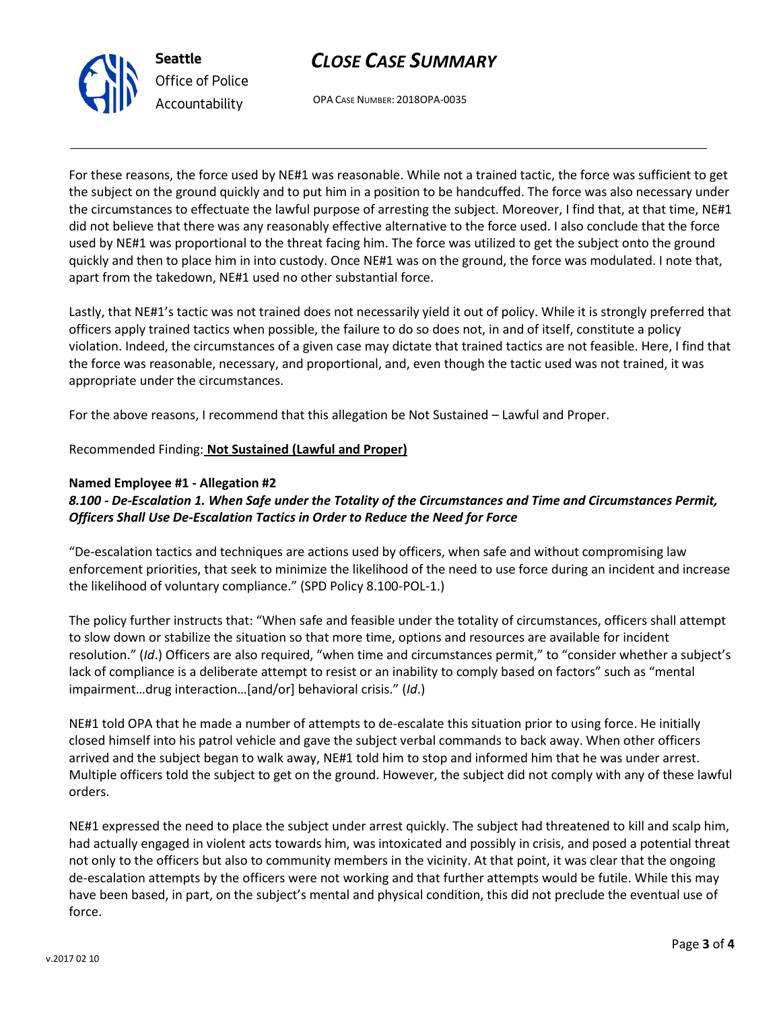# *CLOSE CASE SUMMARY*



OPA CASE NUMBER: 2018OPA-0035

For these reasons, the force used by NE#1 was reasonable. While not a trained tactic, the force was sufficient to get the subject on the ground quickly and to put him in a position to be handcuffed. The force was also necessary under the circumstances to effectuate the lawful purpose of arresting the subject. Moreover, I find that, at that time, NE#1 did not believe that there was any reasonably effective alternative to the force used. I also conclude that the force used by NE#1 was proportional to the threat facing him. The force was utilized to get the subject onto the ground quickly and then to place him in into custody. Once NE#1 was on the ground, the force was modulated. I note that, apart from the takedown, NE#1 used no other substantial force.

Lastly, that NE#1's tactic was not trained does not necessarily yield it out of policy. While it is strongly preferred that officers apply trained tactics when possible, the failure to do so does not, in and of itself, constitute a policy violation. Indeed, the circumstances of a given case may dictate that trained tactics are not feasible. Here, I find that the force was reasonable, necessary, and proportional, and, even though the tactic used was not trained, it was appropriate under the circumstances.

For the above reasons, I recommend that this allegation be Not Sustained – Lawful and Proper.

Recommended Finding: **Not Sustained (Lawful and Proper)**

### **Named Employee #1 - Allegation #2**

## *8.100 - De-Escalation 1. When Safe under the Totality of the Circumstances and Time and Circumstances Permit, Officers Shall Use De-Escalation Tactics in Order to Reduce the Need for Force*

"De-escalation tactics and techniques are actions used by officers, when safe and without compromising law enforcement priorities, that seek to minimize the likelihood of the need to use force during an incident and increase the likelihood of voluntary compliance." (SPD Policy 8.100-POL-1.)

The policy further instructs that: "When safe and feasible under the totality of circumstances, officers shall attempt to slow down or stabilize the situation so that more time, options and resources are available for incident resolution." (*Id*.) Officers are also required, "when time and circumstances permit," to "consider whether a subject's lack of compliance is a deliberate attempt to resist or an inability to comply based on factors" such as "mental impairment…drug interaction…[and/or] behavioral crisis." (*Id*.)

NE#1 told OPA that he made a number of attempts to de-escalate this situation prior to using force. He initially closed himself into his patrol vehicle and gave the subject verbal commands to back away. When other officers arrived and the subject began to walk away, NE#1 told him to stop and informed him that he was under arrest. Multiple officers told the subject to get on the ground. However, the subject did not comply with any of these lawful orders.

NE#1 expressed the need to place the subject under arrest quickly. The subject had threatened to kill and scalp him, had actually engaged in violent acts towards him, was intoxicated and possibly in crisis, and posed a potential threat not only to the officers but also to community members in the vicinity. At that point, it was clear that the ongoing de-escalation attempts by the officers were not working and that further attempts would be futile. While this may have been based, in part, on the subject's mental and physical condition, this did not preclude the eventual use of force.